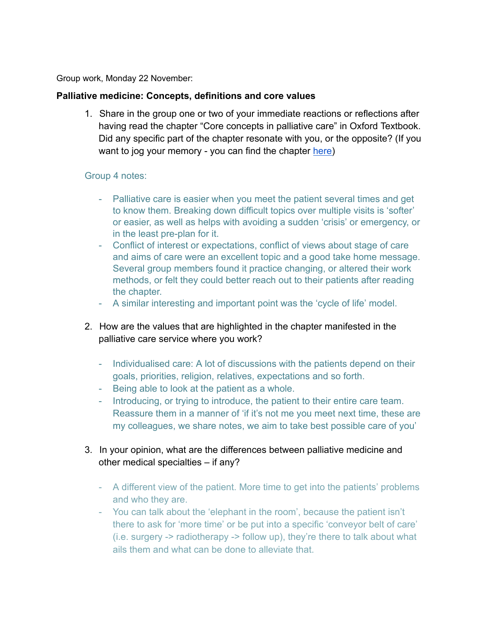Group work, Monday 22 November:

## **Palliative medicine: Concepts, definitions and core values**

1. Share in the group one or two of your immediate reactions or reflections after having read the chapter "Core concepts in palliative care" in Oxford Textbook. Did any specific part of the chapter resonate with you, or the opposite? (If you want to jog your memory - you can find the chapter [here\)](https://drive.google.com/file/d/1gAEVyYNHiC4xmwsBbTG9UZ10nPLuCG1U/view?usp=sharing)

#### Group 4 notes:

- Palliative care is easier when you meet the patient several times and get to know them. Breaking down difficult topics over multiple visits is 'softer' or easier, as well as helps with avoiding a sudden 'crisis' or emergency, or in the least pre-plan for it.
- Conflict of interest or expectations, conflict of views about stage of care and aims of care were an excellent topic and a good take home message. Several group members found it practice changing, or altered their work methods, or felt they could better reach out to their patients after reading the chapter.
- A similar interesting and important point was the 'cycle of life' model.
- 2. How are the values that are highlighted in the chapter manifested in the palliative care service where you work?
	- Individualised care: A lot of discussions with the patients depend on their goals, priorities, religion, relatives, expectations and so forth.
	- Being able to look at the patient as a whole.
	- Introducing, or trying to introduce, the patient to their entire care team. Reassure them in a manner of 'if it's not me you meet next time, these are my colleagues, we share notes, we aim to take best possible care of you'
- 3. In your opinion, what are the differences between palliative medicine and other medical specialties – if any?
	- A different view of the patient. More time to get into the patients' problems and who they are.
	- You can talk about the 'elephant in the room', because the patient isn't there to ask for 'more time' or be put into a specific 'conveyor belt of care' (i.e. surgery -> radiotherapy -> follow up), they're there to talk about what ails them and what can be done to alleviate that.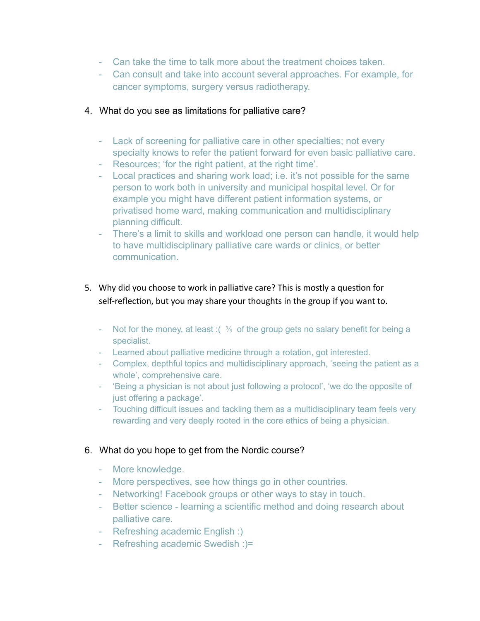- Can take the time to talk more about the treatment choices taken.
- Can consult and take into account several approaches. For example, for cancer symptoms, surgery versus radiotherapy.

# 4. What do you see as limitations for palliative care?

- Lack of screening for palliative care in other specialties; not every specialty knows to refer the patient forward for even basic palliative care.
- Resources; 'for the right patient, at the right time'.
- Local practices and sharing work load; i.e. it's not possible for the same person to work both in university and municipal hospital level. Or for example you might have different patient information systems, or privatised home ward, making communication and multidisciplinary planning difficult.
- There's a limit to skills and workload one person can handle, it would help to have multidisciplinary palliative care wards or clinics, or better communication.
- 5. Why did you choose to work in palliative care? This is mostly a question for self-reflection, but you may share your thoughts in the group if you want to.
	- Not for the money, at least :  $\frac{3}{5}$  of the group gets no salary benefit for being a specialist.
	- Learned about palliative medicine through a rotation, got interested.
	- Complex, depthful topics and multidisciplinary approach, 'seeing the patient as a whole', comprehensive care.
	- 'Being a physician is not about just following a protocol', 'we do the opposite of just offering a package'.
	- Touching difficult issues and tackling them as a multidisciplinary team feels very rewarding and very deeply rooted in the core ethics of being a physician.

# 6. What do you hope to get from the Nordic course?

- More knowledge.
- More perspectives, see how things go in other countries.
- Networking! Facebook groups or other ways to stay in touch.
- Better science learning a scientific method and doing research about palliative care.
- Refreshing academic English :)
- Refreshing academic Swedish :)=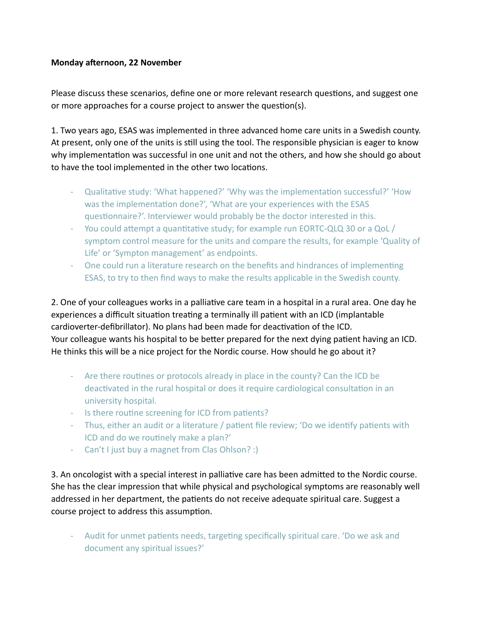## **Monday afternoon, 22 November**

Please discuss these scenarios, define one or more relevant research questions, and suggest one or more approaches for a course project to answer the question(s).

1. Two years ago, ESAS was implemented in three advanced home care units in a Swedish county. At present, only one of the units is still using the tool. The responsible physician is eager to know why implementation was successful in one unit and not the others, and how she should go about to have the tool implemented in the other two locations.

- Qualitative study: 'What happened?' 'Why was the implementation successful?' 'How was the implementation done?', 'What are your experiences with the ESAS questionnaire?'. Interviewer would probably be the doctor interested in this.
- You could attempt a quantitative study; for example run EORTC-QLQ 30 or a QoL / symptom control measure for the units and compare the results, for example 'Quality of Life' or 'Sympton management' as endpoints.
- One could run a literature research on the benefits and hindrances of implementing ESAS, to try to then find ways to make the results applicable in the Swedish county.

2. One of your colleagues works in a palliative care team in a hospital in a rural area. One day he experiences a difficult situation treating a terminally ill patient with an ICD (implantable cardioverter-defibrillator). No plans had been made for deactivation of the ICD. Your colleague wants his hospital to be better prepared for the next dying patient having an ICD. He thinks this will be a nice project for the Nordic course. How should he go about it?

- Are there routines or protocols already in place in the county? Can the ICD be deactivated in the rural hospital or does it require cardiological consultation in an university hospital.
- Is there routine screening for ICD from patients?
- Thus, either an audit or a literature / patient file review; 'Do we identify patients with ICD and do we routinely make a plan?'
- Can't I just buy a magnet from Clas Ohlson? :)

3. An oncologist with a special interest in palliative care has been admitted to the Nordic course. She has the clear impression that while physical and psychological symptoms are reasonably well addressed in her department, the patients do not receive adequate spiritual care. Suggest a course project to address this assumption.

- Audit for unmet patients needs, targeting specifically spiritual care. 'Do we ask and document any spiritual issues?'